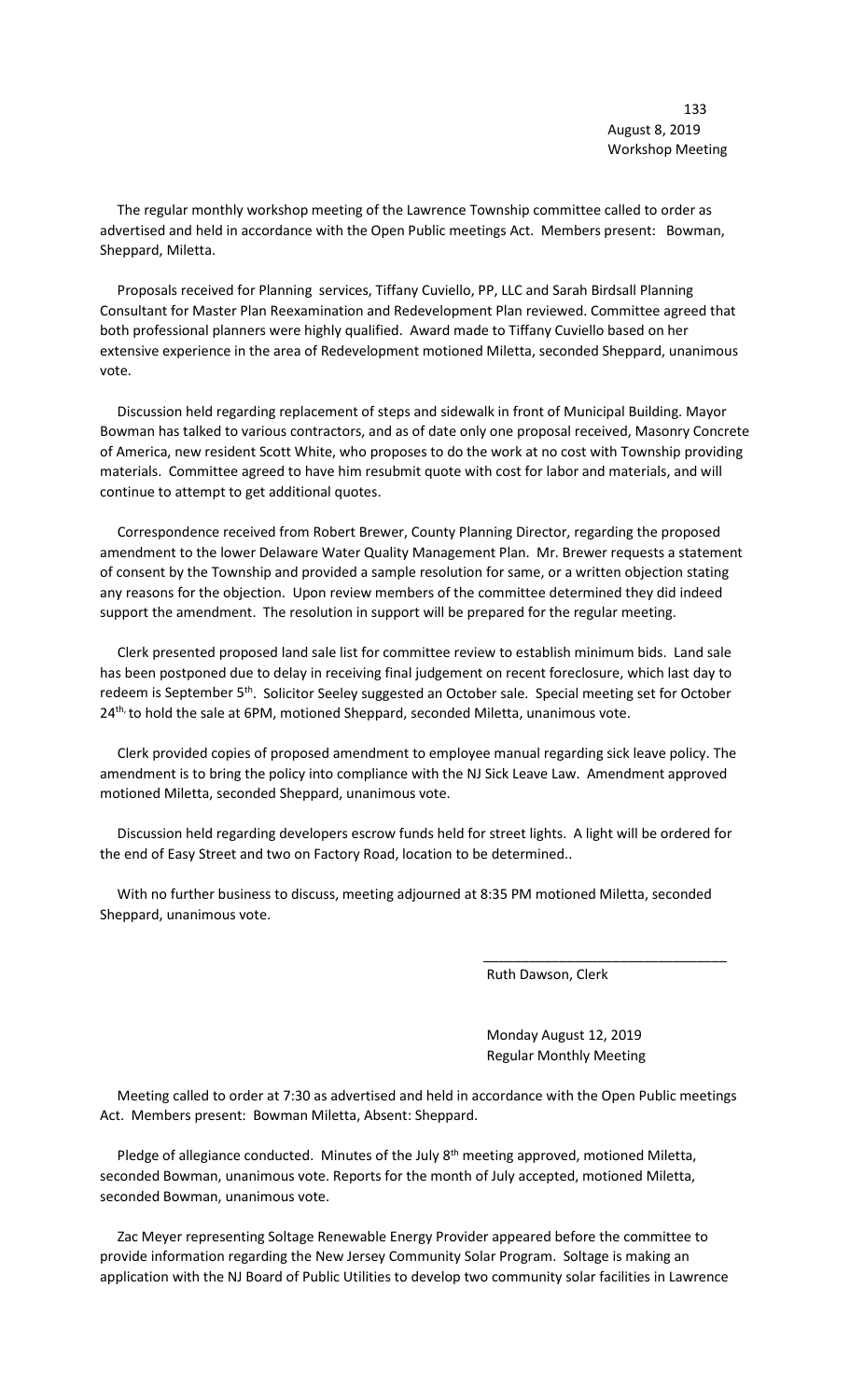The regular monthly workshop meeting of the Lawrence Township committee called to order as advertised and held in accordance with the Open Public meetings Act. Members present: Bowman, Sheppard, Miletta.

 Proposals received for Planning services, Tiffany Cuviello, PP, LLC and Sarah Birdsall Planning Consultant for Master Plan Reexamination and Redevelopment Plan reviewed. Committee agreed that both professional planners were highly qualified. Award made to Tiffany Cuviello based on her extensive experience in the area of Redevelopment motioned Miletta, seconded Sheppard, unanimous vote.

 Discussion held regarding replacement of steps and sidewalk in front of Municipal Building. Mayor Bowman has talked to various contractors, and as of date only one proposal received, Masonry Concrete of America, new resident Scott White, who proposes to do the work at no cost with Township providing materials. Committee agreed to have him resubmit quote with cost for labor and materials, and will continue to attempt to get additional quotes.

 Correspondence received from Robert Brewer, County Planning Director, regarding the proposed amendment to the lower Delaware Water Quality Management Plan. Mr. Brewer requests a statement of consent by the Township and provided a sample resolution for same, or a written objection stating any reasons for the objection. Upon review members of the committee determined they did indeed support the amendment. The resolution in support will be prepared for the regular meeting.

 Clerk presented proposed land sale list for committee review to establish minimum bids. Land sale has been postponed due to delay in receiving final judgement on recent foreclosure, which last day to redeem is September 5<sup>th</sup>. Solicitor Seeley suggested an October sale. Special meeting set for October 24<sup>th,</sup> to hold the sale at 6PM, motioned Sheppard, seconded Miletta, unanimous vote.

 Clerk provided copies of proposed amendment to employee manual regarding sick leave policy. The amendment is to bring the policy into compliance with the NJ Sick Leave Law. Amendment approved motioned Miletta, seconded Sheppard, unanimous vote.

 Discussion held regarding developers escrow funds held for street lights. A light will be ordered for the end of Easy Street and two on Factory Road, location to be determined..

 With no further business to discuss, meeting adjourned at 8:35 PM motioned Miletta, seconded Sheppard, unanimous vote.

 $\overline{\phantom{a}}$  , and the contract of the contract of the contract of the contract of the contract of the contract of the contract of the contract of the contract of the contract of the contract of the contract of the contrac

Ruth Dawson, Clerk

 Monday August 12, 2019 Regular Monthly Meeting

 Meeting called to order at 7:30 as advertised and held in accordance with the Open Public meetings Act. Members present: Bowman Miletta, Absent: Sheppard.

Pledge of allegiance conducted. Minutes of the July 8<sup>th</sup> meeting approved, motioned Miletta, seconded Bowman, unanimous vote. Reports for the month of July accepted, motioned Miletta, seconded Bowman, unanimous vote.

 Zac Meyer representing Soltage Renewable Energy Provider appeared before the committee to provide information regarding the New Jersey Community Solar Program. Soltage is making an application with the NJ Board of Public Utilities to develop two community solar facilities in Lawrence